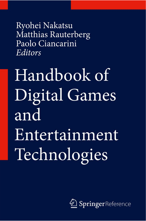Ryohei Nakatsu Matthias Rauterberg Paolo Ciancarini Editors

Handbook of **Digital Games** and Entertainment Technologies

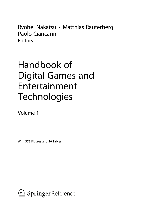Ryohei Nakatsu • Matthias Rauterberg Paolo Ciancarini **Editors** 

# Handbook of Digital Games and Entertainment **Technologies**

Volume 1

With 373 Figures and 36 Tables

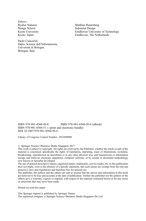**Editors** Ryohei Nakatsu Design School Kyoto University Kyoto, Japan

Paolo Ciancarini Dipto. Scienze dell'Informazione Università di Bologna Bologna, Italy

Matthias Rauterberg Industrial Design Eindhoven University of Technology Eindhoven, The Netherlands

ISBN 978-981-4560-49-8 ISBN 978-981-4560-50-4 (eBook) ISBN 978-981-4560-51-1 (print and electronic bundle) DOI 10.1007/978-981-4560-50-4

Library of Congress Control Number: 2016940980

 $\circ$  Springer Science+Business Media Singapore 2017

This work is subject to copyright. All rights are reserved by the Publisher, whether the whole or part of the material is concerned, specifically the rights of translation, reprinting, reuse of illustrations, recitation, broadcasting, reproduction on microfilms or in any other physical way, and transmission or information storage and retrieval, electronic adaptation, computer software, or by similar or dissimilar methodology now known or hereafter developed.

The use of general descriptive names, registered names, trademarks, service marks, etc. in this publication does not imply, even in the absence of a specific statement, that such names are exempt from the relevant protective laws and regulations and therefore free for general use.

The publisher, the authors and the editors are safe to assume that the advice and information in this book are believed to be true and accurate at the date of publication. Neither the publisher nor the authors or the editors give a warranty, express or implied, with respect to the material contained herein or for any errors or omissions that may have been made.

Printed on acid-free paper

This Springer imprint is published by Springer Nature The registered company is Springer Science+Business Media Singapore Pte Ltd.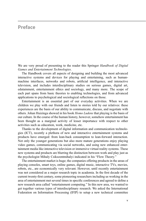## Preface

We are very proud of presenting to the reader this Springer Handbook of Digital Games and Entertainment Technologies.

The Handbook covers all aspects of designing and building the most advanced interactive systems and devices for playing and entertaining, such as humanmachine interfaces, networks and robots, artificial intelligence, and interactive television, and includes interdisciplinary studies on serious games, digital art, edutainment, entertainment ethics and sociology, and many more. The scope of each part spans from basic theories to enabling technologies, and from advanced applications to psychological and sociological reflections on those.

Entertainment is an essential part of our everyday activities. When we are children we play with our friends and listen to stories told by our relatives: these experiences are the basis of our ability to communicate, discuss, and negotiate with others. Johan Huizinga showed in his book Homo Ludens that playing is the basis of our culture. In the course of the human history, however, somehow entertainment has been thought as a marginal activity of lesser importance with respect to other activities such as education, work, medicine, etc.

Thanks to the development of digital information and communication technologies (ICT), recently a plethora of new and interactive entertainment systems and products have emerged: from lean-back consumption to lean-forward interaction. Not only the younger generations but also more mature generations enjoy playing video games, communicating via social networks, and using new enhanced entertainment media like interactive television or immersive virtual reality systems. These new systems and products are blurring the distinction between work and play just as the psychologist Mihaly Csikszentmihalyi indicated in his "Flow Theory."

The entertainment market is huge; the companies offering products in the areas of playing consoles, smart toys, online games, digital music, interactive TVs, movies, robots, etc., are economically very relevant. However, until recently entertainment was not considered as a major research topic in academia. In the first decade of the current twenty-first century, some pioneering researchers including us working in the area of entertainment met several times in specific conferences and agreed to define a new research area called "entertainment computing." In this new area, we wanted to get together various types of interdisciplinary research. We asked the International Federation on Information Processing (IFIP) to setup a new technical committee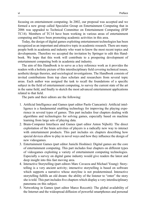focusing on entertainment computing. In 2002, our proposal was accepted and we formed a new group called Specialist Group on Entertainment Computing that in 2006 was upgraded to Technical Committee on Entertainment Computing (IFIP TC14). Members of TC14 have been working in various areas of entertainment computing and have been promoting academic activities in this area.

Today, the design of digital games exploiting entertainment technologies has been recognized as an important and attractive topic in academic research. There are many people both in academia and industry who want to know the most recent topics and developments. Therefore we accepted the invitation by Springer to edit this Handbook. We hope that this work will contribute to a prospering development of entertainment computing both in academia and industry.

The aim of this Handbook is to serve as a key reference work as it provides the readers with a holistic picture of this interdisciplinary field covering technical issues, aesthetic/design theories, and sociological investigations. The Handbook consists of invited contributions from top class scholars and researchers from several topic areas. Each author was assigned the task to recall the foundations of a specific subject in the field of entertainment computing, to survey the current state of the art in the same field, and finally to sketch the most advanced entertainment applications related to that field.

The parts and their editors are the following:

- 1. Artificial Intelligence and Games (part editor Paolo Ciancarini): Artificial intelligence is a fundamental enabling technology for improving the playing experience in several types of games. This part includes four chapters dealing with algorithms and technologies for solving games, especially based on machine learning from large sets of playing data.
- 2. Brain-Computer Interfaces and Games (part editor Anton Nijholt): The direct exploitation of the brain activities of players is a radically new way to interact with entertainment products. This part includes six chapters describing how special devices allow to play in novel ways and how they influence the design of new videogames.
- 3. Entertainment Games (part editor Junichi Hoshino): Digital games are the core of entertainment computing. This part includes four chapters on different types of videogames exploiting a variety of entertainment computing technologies. Especially a survey on digital game industry would give readers the latest and deep insight into this fast moving area.
- 4. Interactive Storytelling (part editors Marc Cavazza and Michael Young): Storytelling is a very ancient activity; interactive storytelling is based on software which supports a narrative whose storyline is not predetermined. Interactive storytelling fulfills an old dream: the ability of the listener to "enter" the story she is told. This part includes five chapters which display a very interdisciplinary panorama on this subject.
- 5. Networking in Games (part editor Marco Roccetti): The global availability of the Internet and the widespread diffusion of powerful smartphones and personal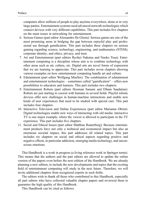computers allow millions of people to play anytime everywhere, alone or in very large parties. Entertainment systems need advanced network technologies which connect devices with very different capabilities. This part includes five chapters on the main issues in networking for entertainment.

- 6. Serious Games (part editor Alessandro De Gloria): Serious games are one of the most promising areas in bridging the gap between enjoyful play and professional use through gamification. This part includes three chapters on serious gaming regarding science, technology, engineering, and mathematics (STEM); corporate identity; and ethics, privacy, and trust.
- 7. Art and Entertainment (part editors Ryohei Nakatsu and Naoko Tosa): Entertainment computing is a discipline whose aim is to combine technology with other areas such as art, culture, etc. Digital arts are novel forms of expression that we are learning to appreciate. This part includes seven chapters showing various examples on how entertainment computing handle art and culture.
- 8. Edutainment (part editor Wolfgang Mueller): The combination of edutainment and entertainment technologies – sometimes called "gamification" – offers new possibilities to educators and learners. This part includes two chapters.
- 9. Entertainment Robots (part editors Hooman Samani and Elham Saadatian): Robots are just starting to coexist with humans in several fields. Playful robotic devices offer new challenges in human-machine interactions and enable new kinds of user experiences that need to be studied with special care. This part includes four chapters.
- 10. Interactive Television and Online Experiences (part editor Marianna Obrist): Digital technologies enable new ways of interacting with old media: interactive TV is one major example, where the viewer is allowed to participate in the TV experience. This part includes five chapters.
- 11. Social and Ethical Issues (part editor Matthias Rauterberg): Because entertainment products have not only a technical and economical impact but also an enormous societal impact, this part addresses all related topics. This part includes six chapters on social and ethical aspects regarding positive and negative effects, in particular addiction, emerging media technology, and unconscious emotions.

This Handbook is a work in progress (a living reference work in Springer terms). This means that the authors and the part editors are allowed to update the online version of the papers even before the next edition of the Handbook. We are already planning a new edition, to include the new developments and topics that the exciting field of entertainment computing will study in the next future. Therefore, we will invite additional chapters from recognized experts in such fields.

The editors wish to thank all those who contributed to this Handbook, especially all part editors who have collected valuable chapter papers and reviewed them to guarantee the high quality of this Handbook.

This Handbook can be cited as follows: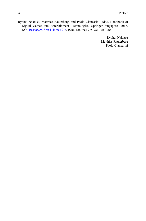Ryohei Nakatsu, Matthias Rauterberg, and Paolo Ciancarini (eds.), Handbook of Digital Games and Entertainment Technologies, Springer Singapore, 2016. DOI [10.1007/978-981-4560-52-8](http://dx.doi.org/10.1007/978-981-4560-52-8). ISBN (online) 978-981-4560-50-4

> Ryohei Nakatsu Matthias Rauterberg Paolo Ciancarini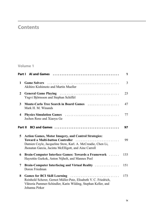# **Contents**

#### Volume 1

|              |                                                                                                                                                                                                                         | 1   |
|--------------|-------------------------------------------------------------------------------------------------------------------------------------------------------------------------------------------------------------------------|-----|
| $\mathbf{1}$ | Akihiro Kishimoto and Martin Mueller                                                                                                                                                                                    | 3   |
| $\mathbf{2}$ | Yngvi Björnsson and Stephan Schiffel                                                                                                                                                                                    | 23  |
| 3            | Monte-Carlo Tree Search in Board Games<br>Mark H. M. Winands                                                                                                                                                            | 47  |
| 4            | Jochen Renz and Xiaoyu Ge                                                                                                                                                                                               | 77  |
|              |                                                                                                                                                                                                                         | 97  |
| 5            | <b>Action Games, Motor Imagery, and Control Strategies:</b><br>Toward a Multi-button Controller<br>Damien Coyle, Jacqueline Stow, Karl. A. McCreadie, Chen Li,<br>Jhonatan Garcia, Jacinta McElligott, and Aine Carroll | 99  |
| 6            | Brain-Computer Interface Games: Towards a Framework<br>Hayrettin Gurkok, Anton Nijholt, and Mannes Poel                                                                                                                 | 133 |
| 7            | Brain-Computer Interfacing and Virtual Reality  151<br>Doron Friedman                                                                                                                                                   |     |
| 8            | Games for BCI Skill Learning<br>Reinhold Scherer, Gernot Müller-Putz, Elisabeth V. C. Friedrich,<br>Viktoria Pammer-Schindler, Karin Wilding, Stephan Keller, and<br>Johanna Pirker                                     | 173 |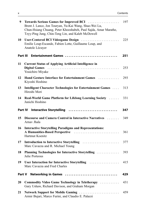| 9  | <b>Towards Serious Games for Improved BCI</b><br>Brent J. Lance, Jon Touryan, Yu-Kai Wang, Shao-Wei Lu,<br>Chun-Hsiang Chuang, Peter Khooshabeh, Paul Sajda, Amar Marathe,<br>Tzyy-Ping Jung, Chin-Teng Lin, and Kaleb McDowell | 197 |
|----|---------------------------------------------------------------------------------------------------------------------------------------------------------------------------------------------------------------------------------|-----|
| 10 | User-Centered BCI Videogame Design<br>Emilie Loup-Escande, Fabien Lotte, Guillaume Loup, and<br>Anatole Lécuyer                                                                                                                 | 225 |
|    | Part III Entertainment Games                                                                                                                                                                                                    | 251 |
| 11 | <b>Current Status of Applying Artificial Intelligence in</b><br>Youichiro Miyake                                                                                                                                                | 253 |
| 12 | Hand Gesture Interface for Entertainment Games<br>Kiyoshi Hoshino                                                                                                                                                               | 293 |
| 13 | Intelligent Character Technologies for Entertainment Games<br>Hiroshi Mori                                                                                                                                                      | 313 |
| 14 | Real-World Game Platform for Lifelong Learning Society<br>Junichi Hoshino                                                                                                                                                       | 331 |
|    | Part IV Interactive Storytelling                                                                                                                                                                                                | 347 |
| 15 | Discourse and Camera Control in Interactive Narratives<br>Arnav Jhala                                                                                                                                                           | 349 |
| 16 | <b>Interactive Storytelling Paradigms and Representations:</b><br>A Humanities-Based Perspective<br>Hartmut Koenitz                                                                                                             | 361 |
| 17 | Introduction to Interactive Storytelling<br>Marc Cavazza and R. Michael Young                                                                                                                                                   | 377 |
| 18 | Planning Technologies for Interactive Storytelling<br>Julie Porteous                                                                                                                                                            | 393 |
| 19 | User Interaction for Interactive Storytelling<br>Marc Cavazza and Fred Charles                                                                                                                                                  | 415 |
|    | Part V<br>Networking in Games                                                                                                                                                                                                   | 429 |
| 20 | Commodity Video Game Technology in Teletherapy<br>Gary Ushaw, Richard Davison, and Graham Morgan                                                                                                                                | 431 |
| 21 | Network Support for Mobile Gaming<br>Armir Bujari, Marco Furini, and Claudio E. Palazzi                                                                                                                                         | 459 |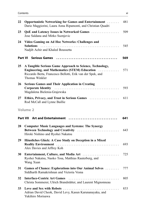| 22 | <b>Opportunistic Networking for Games and Entertainment </b><br>Dario Maggiorini, Laura Anna Ripamonti, and Christian Quadri                                                              | 481 |
|----|-------------------------------------------------------------------------------------------------------------------------------------------------------------------------------------------|-----|
| 23 | QoE and Latency Issues in Networked Games<br>Jose Saldana and Mirko Suznjevic                                                                                                             | 509 |
| 24 | Video Gaming on Ad Hoc Networks: Challenges and<br><b>Solutions</b><br>Nadjib Achir and Khaled Boussetta                                                                                  | 545 |
|    | Part VI<br><b>Serious Games</b>                                                                                                                                                           | 569 |
| 25 | A Tangible Serious Game Approach to Science, Technology,<br>Engineering, and Mathematics (STEM) Education<br>Riccardo Berta, Francesco Bellotti, Erik van der Spek, and<br>Thomas Winkler | 571 |
| 26 | <b>Serious Games and Their Application in Creating</b><br>Magdalena Bielenia-Grajewska                                                                                                    | 593 |
| 27 | Ethics, Privacy, and Trust in Serious Games<br>Rod McCall and Lynne Baillie                                                                                                               | 611 |
|    | Volume 2                                                                                                                                                                                  |     |
|    | Art and Entertainment<br>Part VII                                                                                                                                                         | 641 |
| 28 | <b>Computer Music Languages and Systems: The Synergy</b><br>Between Technology and Creativity<br>Hiroki Nishino and Ryohei Nakatsu                                                        | 643 |
| 29 | Häusliches Glück: A Case Study on Deception in a Mixed<br>Alex Davies and Jeffrey Koh                                                                                                     | 693 |
| 30 | Entertainment, Culture, and Media Art<br>Ryohei Nakatsu, Naoko Tosa, Matthias Rauterberg, and<br>Wang Xuan                                                                                | 725 |
| 31 | Games of Chance: Explorations into Our Animal Selves<br>Siddharth Ramakrishnan and Victoria Vesna                                                                                         | 777 |
| 32 | <b>Interface-Centric Art Games</b><br>Christa Sommerer, Ulrich Brandstätter, and Laurent Mignonneau                                                                                       | 805 |
| 33 | Adrian David Cheok, David Levy, Kasun Karunanayaka, and<br>Yukihiro Morisawa                                                                                                              | 833 |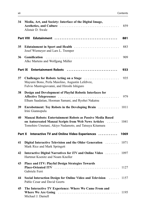| 34     | Media, Art, and Society: Interface of the Digital Image,<br>Alistair D. Swale                                                                                                          | 859  |
|--------|----------------------------------------------------------------------------------------------------------------------------------------------------------------------------------------|------|
|        |                                                                                                                                                                                        | 881  |
| 35     | Edutainment in Sport and Health<br>Josef Wiemeyer and Lars L. Tremper                                                                                                                  | 883  |
| 36     | <b>Gamification</b><br>Alke Martens and Wolfgang Müller                                                                                                                                | 909  |
|        | Part IX Entertainment Robots                                                                                                                                                           | 933  |
| 37     | Challenges for Robots Acting on a Stage<br>Mayumi Bono, Perla Maiolino, Augustin Lefebvre,<br>Fulvio Mastrogiovanni, and Hiroshi Ishiguro                                              | 935  |
| 38     | Design and Development of Playful Robotic Interfaces for<br>Elham Saadatian, Hooman Samani, and Ryohei Nakatsu                                                                         | 979  |
| 39     | Enrobotment: Toy Robots in the Developing Brain  1011<br>Irini Giannopulu                                                                                                              |      |
| 40     | Manzai Robots: Entertainment Robots as Passive Media Based<br>on Autocreated Manzai Scripts from Web News Articles<br>$\sim$<br>Tomohiro Umetani, Akiyo Nadamoto, and Tatsuya Kitamura | 1041 |
| Part X | Interactive TV and Online Video Experiences                                                                                                                                            | 1069 |
| 41     | Digital Interactive Television and the Older Generation<br>Mark Rice and Mark Springett                                                                                                | 1071 |
| 42     | Interactive Digital Narratives for iTV and Online Video<br>Hartmut Koenitz and Noam Knoller                                                                                            | 1097 |
| 43     | Place and ITV: Playful Design Strategies Towards<br>Gabriele Ferri                                                                                                                     |      |
| 44     | Social Interaction Design for Online Video and Television  1157<br>Pablo Cesar and David Geerts                                                                                        |      |
| 45     | The Interactive TV Experience: Where We Came From and<br>Michael J. Darnell                                                                                                            | 1195 |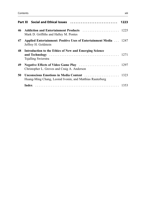|    |                                                                                                  | 1223 |
|----|--------------------------------------------------------------------------------------------------|------|
| 46 | Mark D. Griffiths and Halley M. Pontes                                                           |      |
| 47 | <b>Applied Entertainment: Positive Uses of Entertainment Media  1247</b><br>Jeffrey H. Goldstein |      |
| 48 | Introduction to the Ethics of New and Emerging Science<br>Tsjalling Swierstra                    |      |
| 49 | Christopher L. Groves and Craig A. Anderson                                                      |      |
| 50 | Huang-Ming Chang, Leonid Ivonin, and Matthias Rauterberg                                         |      |
|    |                                                                                                  |      |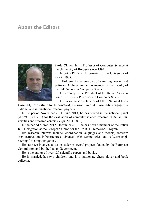### About the Editors



Paolo Ciancarini is Professor of Computer Science at the University of Bologna since 1992.

He got a Ph.D. in Informatics at the University of Pisa in 1988.

In Bologna, he lectures on Software Engineering and Software Architecture, and is member of the Faculty of the PhD School in Computer Science.

He currently is the President of the Italian Association of University Professors in Computer Science.

He is also the Vice-Director of CINI (National Inter-

University Consortium for Informatics), a consortium of 43 universities engaged in national and international research projects.

In the period November 2011–June 2013, he has served in the national panel (ANVUR GEV01) for the evaluation of computer science research in Italian universities and research centers (VQR 2004–2010).

In the period March 2012–December 2013, he has been a member of the Italian ICT Delegation at the European Union for the 7th ICT Framework Program.

His research interests include: coordination languages and models, software architectures and infrastructures, advanced Web technologies, and software engineering for computer games.

He has been involved as a site leader in several projects funded by the European Commission and by the Italian Government.

He is the author of over 120 scientific papers and books.

He is married, has two children, and is a passionate chess player and book collector.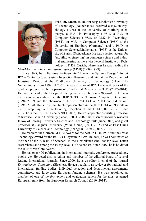

Prof. Dr. Matthias Rauterberg Eindhoven University of Technology (Netherlands), received a B.S. in Psychology (1978) at the University of Marburg (Germany), a B.A. in Philosophy (1981), a B.S. in Computer Science (1983), an M.S. in Psychology (1981), an M.S. in Computer Science (1986) at the University of Hamburg (Germany), and a Ph.D. in Computer Science/Mathematics (1995) at the University of Zurich (Switzerland). He was a senior lecturer for "usability engineering" in computer science and industrial engineering at the Swiss Federal Institute of Technology (ETH) in Zurich, where later he was heading the

Man-Machine Interaction research group (MMI) (1989–1998).

Since 1998, he is Fulltime Professor for "Interactive Systems Design" first at IPO – Centre for User System Interaction Research, and later at the Department of Industrial Design at the Eindhoven University of Technology (TU/e, The Netherlands). From 1999 till 2002, he was director of IPO. He was director of the graduate program at the Department of Industrial Design of the TU/e (2012–2014). He was the head of the Designed Intelligence research group (2006–2015). He was the Swiss representative in the IFIP TC13 on "Human Computer Interaction" (1994–2002) and the chairman of the IFIP WG13.1 on "HCI and Education" (1998–2004). He is now the Dutch representative in the IFIP TC14 on "Entertainment Computing" and the founding vice-chair of this TC14 (2006–2012). Since 2012, he is the IFIP TC14 chair (2013–2015). He was appointed as visiting professor at Kwansei Gakuin University (Japan) (2004–2007); he is senior honorary research fellow of Taicang University Science and Technology Park (since 2012) and guest professor at Jiangnan University (Wuxi, China) (2011–2015) and at East China University of Science and Technology (Shanghai, China) (2013–2016).

He received the German GI-HCI Award for the best Ph.D. in 1997 and the Swiss Technology Award for the BUILD-IT system in 1998. In 2004, he was nominated as member of the "Cream of Science" in the Netherlands (the 200 top-level Dutch researchers) and among the 10 top-level TU/e scientists. Since 2007, he is holder of the IFIP Silver Core Award.

He has over 400 publications in international journals, conference proceedings, books, etc. He acted also as editor and member of the editorial board of several leading international journals. Since 2009, he is co-editor-in-chief of the journal Entertainment Computing (Elsevier). He acts regularly as reviewer for national and international funding bodies, individual selection and departmental assessments committees, and large-scale European funding schemas. He was appointed as member of one of the few expert and evaluation panels for the most esteemed European grant from the European Research Council (2010–2014).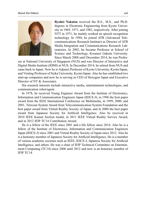

Ryohei Nakatsu received the B.S., M.S., and Ph.D. degrees in Electronic Engineering from Kyoto University in 1969, 1971, and 1982, respectively. After joining NTT in 1971, he mainly worked on speech recognition technology. In 1994, he joined ATR (Advanced Telecommunications Research Institute) as Director of ATR Media Integration and Communications Research Laboratories. In 2002, he became Professor at School of Science and Technology, Kwansei Gakuin University. Since March 2008 until December 2014, he was Profes-

sor at National University of Singapore (NUS) and was Director of Interactive and Digital Media Institute (IDMI) at NUS. In December 2014, he retired from NUS and came back to Japan. Now he is Adjunct Professor of Kyoto University, Kyoto/Japan, and Visiting Professor of Seika University, Kyoto/Japan. Also he has established two start-up companies and now he is serving as CEO of Hexogon Japan and Executive Director of NT & Associates.

His research interests include interactive media, entertainment technologies, and communication robot/agent.

In 1978, he received Young Engineer Award from the Institute of Electronics, Information and Communication Engineers Japan (IEICE-J), in 1996 the best paper award from the IEEE International Conference on Multimedia, in 1999, 2000, and 2001, Telecom System Award from Telecommunication System Foundation and the best paper award from Virtual Reality Society of Japan, and in 2000 the best paper award from Japanese Society for Artificial Intelligence. Also he received in 2010 IEEE Kansai Section medal, in 2011 IEEE Virtual Reality Service Award, and in 2012 IFIP TC14 Contribution Award.

He is a fellow of the IEEE since 2001 and a life fellow since 2014. Also he is a fellow of the Institute of Electronics, Information and Communication Engineers Japan (IEICE-J) since 2001 and Virtual Reality Society of Japan since 2012. Also he is a honorary member of Japanese Society for Artificial Intelligence. He is a member of various academic societies such as IEEE, IEICE-J, Japanese Society for Artificial Intelligence, and others. He was a chair of IFIP Technical Committee on Entertainment Computing (TC14) since 2006 until 2012 and now is an honorary member of IFIP TC14.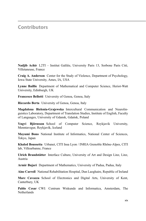# **Contributors**

Nadjib Achir L2TI – Institut Galilée, University Paris 13, Sorbone Paris Cité, Villetaneuse, France

Craig A. Anderson Center for the Study of Violence, Department of Psychology, Iowa State University, Ames, IA, USA

Lynne Baillie Department of Mathematical and Computer Science, Heriot-Watt University, Edinburgh, UK

Francesco Bellotti University of Genoa, Genoa, Italy

Riccardo Berta University of Genoa, Genoa, Italy

Magdalena Bielenia-Grajewska Intercultural Communication and Neurolinguistics Laboratory, Department of Translation Studies, Institute of English, Faculty of Languages, University of Gdansk, Gdańsk, Poland

Yngvi Björnsson School of Computer Science, Reykjavik University, Menntavegur, Reykjavík, Iceland

Mayumi Bono National Institute of Informatics, National Center of Sciences, Tokyo, Japan

Khaled Boussetta Urbanet, CITI Insa Lyon / INRIA Grenoble Rhône-Alpes, CITI lab, Villeurbanne, France

Ulrich Brandstätter Interface Culture, University of Art and Design Linz, Linz, Austria

Armir Bujari Department of Mathematics, University of Padua, Padua, Italy

Aine Carroll National Rehabilitation Hospital, Dun Laoghaire, Republic of Ireland

Marc Cavazza School of Electronics and Digital Arts, University of Kent, Canterbury, UK

Pablo Cesar CWI: Centrum Wiskunde and Informatica, Amsterdam, The **Netherlands**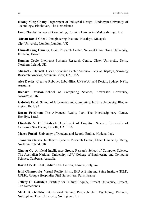Huang-Ming Chang Department of Industrial Design, Eindhoven University of Technology, Eindhoven, The Netherlands

Fred Charles School of Computing, Teesside University, Middlesbrough, UK

Adrian David Cheok Imagineering Institute, Nusajaya, Malaysia

City University London, London, UK

Chun-Hsiang Chuang Brain Research Center, National Chiao Tung University, Hsinchu, Taiwan

Damien Coyle Intelligent Systems Research Centre, Ulster University, Derry, Northern Ireland, UK

Michael J. Darnell User Experience Center America – Visual Displays, Samsung Research America, Mountain View, CA, USA

Alex Davies Creative Robotics Lab, NIEA, UNSW Art and Design, Sydney, NSW, Australia

Richard Davison School of Computing Science, Newcastle University, Newcastle, UK

Gabriele Ferri School of Informatics and Computing, Indiana University, Bloomington, IN, USA

Doron Friedman The Advanced Reality Lab, The Interdisciplinary Center, Herzliya, Israel

Elisabeth V. C. Friedrich Department of Cognitive Science, University of California San Diego, La Jolla, CA, USA

Marco Furini University of Modena and Reggio Emilia, Modena, Italy

Jhonatan Garcia Intelligent Systems Research Centre, Ulster University, Derry, Northern Ireland, UK

Xiaoyu Ge Artificial Intelligence Group, Research School of Computer Science, The Australian National University, ANU College of Engineering and Computer Science, Canberra, Australia

David Geerts CUO, iMinds/KU Leuven, Leuven, Belgium

Irini Giannopulu Virtual Reality Prism, IHU-A-Brain and Spine Institute (ICM), UPMC, Groupe Hospitalier Pitié-Salpêtrière, Paris, France

Jeffrey H. Goldstein Institute for Cultural Inquiry, Utrecht University, Utrecht, The Netherlands

Mark D. Griffiths International Gaming Research Unit, Psychology Division, Nottingham Trent University, Nottingham, UK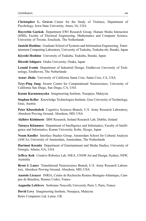Christopher L. Groves Center for the Study of Violence, Department of Psychology, Iowa State University, Ames, IA, USA

Hayrettin Gurkok Department EWI Research Group, Human Media Interaction (HMI), Faculty of Electrical Engineering, Mathematics and Computer Science, University of Twente, Enschede, The Netherlands

**Junichi Hoshino** Graduate School of Systems and Information Engineering Entertainment Computing Laboratory, University of Tsukuba, Tsukuba-shi, Ibaraki, Japan

Kiyoshi Hoshino University of Tsukuba, Tsukuba, Ibaraki, Japan

Hiroshi Ishiguro Osaka University, Osaka, Japan

Leonid Ivonin Department of Industrial Design, Eindhoven University of Technology, Eindhoven, The Netherlands

Arnav Jhala University of California Santa Cruz, Santa Cruz, CA, USA

Tzyy-Ping Jung Swartz Center for Computational Neuroscience, University of California San Diego, San Diego, CA, USA

Kasun Karunanayaka Imagineering Institute, Nusajaya, Malaysia

Stephan Keller Knowledge Technologies Institute, Graz University of Technology, Graz, Austria

Peter Khooshabeh Cognitive Sciences Branch, U.S. Army Research Laboratory, Aberdeen Proving Ground, Aberdeen, MD, USA

Akihiro Kishimoto IBM Research, Ireland Research Lab, Dublin, Ireland

Tatsuya Kitamura Department of Intelligence and Informatics, Faculty of Intelligence and Informatics, Konan University, Kobe, Hyogo, Japan

Noam Knoller Interface Studies Group, Amsterdam School for Cultural Analysis (ASCA), University of Amsterdam, Amsterdam, The Netherlands

Hartmut Koenitz Department of Entertainment and Media Studies, University of Georgia, Athens, GA, USA

Jeffrey Koh Creative Robotics Lab, NIEA, UNSW Art and Design, Sydney, NSW, Australia

Brent J. Lance Translational Neuroscience Branch, U.S. Army Research Laboratory, Aberdeen Proving Ground, Aberdeen, MD, USA

Anatole Lécuyer INRIA, Centre de Recherche Rennes Bretagne-Atlantique, Campus de Beaulieu, Rennes Cedex, France

Augustin Lefebvre Sorbonne Nouvelle University Paris 3, Paris, France

David Levy Imagineering Institute, Nusajaya, Malaysia

Retro Computers Ltd, Luton, UK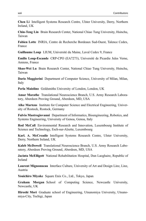Chen Li Intelligent Systems Research Centre, Ulster University, Derry, Northern Ireland, UK

Chin-Teng Lin Brain Research Center, National Chiao Tung University, Hsinchu, Taiwan

Fabien Lotte INRIA, Centre de Recherche Bordeaux Sud-Ouest, Talence Cedex, France

Guillaume Loup LIUM, Université du Maine, Laval Cedex 9, France

Emilie Loup-Escande CRP-CPO (EA7273), Université de Picardie Jules Verne, Amiens, France

Shao-Wei Lu Brain Research Center, National Chiao Tung University, Hsinchu, Taiwan

Dario Maggiorini Department of Computer Science, University of Milan, Milan, Italy

Perla Maiolino Goldsmiths University of London, London, UK

Amar Marathe Translational Neuroscience Branch, U.S. Army Research Laboratory, Aberdeen Proving Ground, Aberdeen, MD, USA

Alke Martens Institute for Computer Science and Electrical Engineering, University of Rostock, Rostock, Germany

Fulvio Mastrogiovanni Department of Informatics, Bioengineering, Robotics, and Systems Engineering, University of Genoa, Genoa, Italy

Rod McCall Environmental Research and Innovation, Luxembourg Institute of Science and Technology, Esch-sur-Alzette, Luxembourg

Karl. A. McCreadie Intelligent Systems Research Centre, Ulster University, Derry, Northern Ireland, UK

Kaleb McDowell Translational Neuroscience Branch, U.S. Army Research Laboratory, Aberdeen Proving Ground, Aberdeen, MD, USA

Jacinta McElligott National Rehabilitation Hospital, Dun Laoghaire, Republic of Ireland

Laurent Mignonneau Interface Culture, University of Art and Design Linz, Linz, Austria

Youichiro Miyake Square Enix Co., Ltd., Tokyo, Japan

Graham Morgan School of Computing Science, Newcastle University, Newcastle, UK

Hiroshi Mori Graduate school of Engineering, Utsunomiya University, Utsunomiya-City, Tochigi, Japan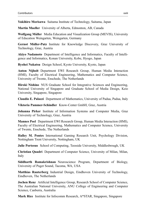Yukihiro Morisawa Saitama Institute of Technology, Saitama, Japan

Martin Mueller University of Alberta, Edmonton, AB, Canada

Wolfgang Müller Media Education and Visualization Group (MEVIS), University of Education Weingarten, Weingarten, Germany

Gernot Müller-Putz Institute for Knowledge Discovery, Graz University of Technology, Graz, Austria

Akiyo Nadamoto Department of Intelligence and Informatics, Faculty of Intelligence and Informatics, Konan University, Kobe, Hyogo, Japan

Ryohei Nakatsu Design School, Kyoto University, Kyoto, Japan

Anton Nijholt Department EWI Research Group, Human Media Interaction (HMI), Faculty of Electrical Engineering, Mathematics and Computer Science, University of Twente, Enschede, The Netherlands

Hiroki Nishino NUS Graduate School for Integrative Sciences and Engineering, National University of Singapore and Graduate School of Media Design, Keio University, Singapore, Singapore

Claudio E. Palazzi Department of Mathematics, University of Padua, Padua, Italy

Viktoria Pammer-Schindler Know-Center GmbH, Graz, Austria

Johanna Pirker Institute of Information Systems and Computer Media, Graz University of Technology, Graz, Austria

Mannes Poel Department EWI Research Group, Human Media Interaction (HMI), Faculty of Electrical Engineering, Mathematics and Computer Science, University of Twente, Enschede, The Netherlands

Halley M. Pontes International Gaming Research Unit, Psychology Division, Nottingham Trent University, Nottingham, UK

Julie Porteous School of Computing, Teesside University, Middlesbrough, UK

Christian Quadri Department of Computer Science, University of Milan, Milan, Italy

Siddharth Ramakrishnan Neuroscience Program, Department of Biology, University of Puget Sound, Tacoma, WA, USA

Matthias Rauterberg Industrial Design, Eindhoven University of Technology, Eindhoven, The Netherlands

Jochen Renz Artificial Intelligence Group, Research School of Computer Science, The Australian National University, ANU College of Engineering and Computer Science, Canberra, Australia

Mark Rice Institute for Infocomm Research, A\*STAR, Singapore, Singapore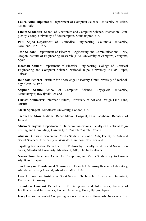Laura Anna Ripamonti Department of Computer Science, University of Milan, Milan, Italy

Elham Saadatian School of Electronics and Computer Science, Interaction, Complexity Group, University of Southampton, Southampton, UK

Paul Sajda Department of Biomedical Engineering, Columbia University, New York, NY, USA

Jose Saldana Department of Electrical Engineering and Communications EINA, Aragon Institute of Engineering Research (I3A), University of Zaragoza, Zaragoza, Spain

Hooman Samani Department of Electrical Engineering, College of Electrical Engineering and Computer Science, National Taipei University, NTUP, Taipei, Taiwan

Reinhold Scherer Institute for Knowledge Discovery, Graz University of Technology, Graz, Austria

Stephan Schiffel School of Computer Science, Reykjavik University, Menntavegur, Reykjavík, Iceland

Christa Sommerer Interface Culture, University of Art and Design Linz, Linz, Austria

Mark Springett Middlesex University, London, UK

Jacqueline Stow National Rehabilitation Hospital, Dun Laoghaire, Republic of Ireland

Mirko Suznjevic Department of Telecommunications, Faculty of Electrical Engineering and Computing, University of Zagreb, Zagreb, Croatia

Alistair D. Swale Screen and Media Studies, School of Arts, Faculty of Arts and Social Sciences, University of Waikato, Hamilton, New Zealand

Tsjalling Swierstra Department of Philosophy, Faculty of Arts and Social Sciences, Maastricht University, Maastricht, MD, The Netherlands

Naoko Tosa Academic Center for Computing and Media Studies, Kyoto University, Kyoto, Japan

Jon Touryan Translational Neuroscience Branch, U.S. Army Research Laboratory, Aberdeen Proving Ground, Aberdeen, MD, USA

Lars L. Tremper Institute of Sport Science, Technische Universitaet Darmstadt, Darmstadt, Germany

Tomohiro Umetani Department of Intelligence and Informatics, Faculty of Intelligence and Informatics, Konan University, Kobe, Hyogo, Japan

Gary Ushaw School of Computing Science, Newcastle University, Newcastle, UK